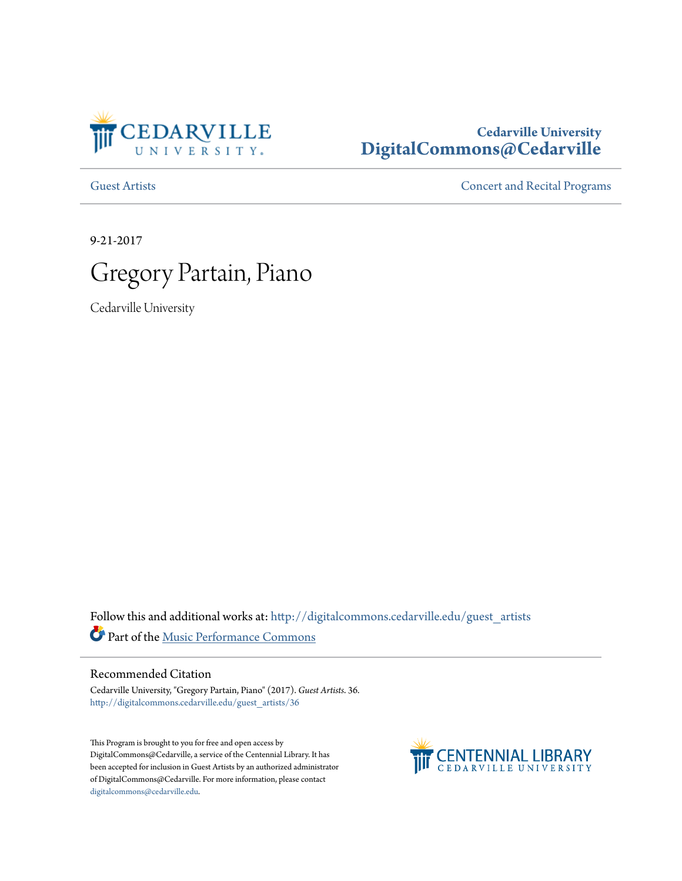

# **Cedarville University [DigitalCommons@Cedarville](http://digitalcommons.cedarville.edu?utm_source=digitalcommons.cedarville.edu%2Fguest_artists%2F36&utm_medium=PDF&utm_campaign=PDFCoverPages)**

[Guest Artists](http://digitalcommons.cedarville.edu/guest_artists?utm_source=digitalcommons.cedarville.edu%2Fguest_artists%2F36&utm_medium=PDF&utm_campaign=PDFCoverPages) [Concert and Recital Programs](http://digitalcommons.cedarville.edu/concert_and_recital_programs?utm_source=digitalcommons.cedarville.edu%2Fguest_artists%2F36&utm_medium=PDF&utm_campaign=PDFCoverPages)

9-21-2017



Cedarville University

Follow this and additional works at: [http://digitalcommons.cedarville.edu/guest\\_artists](http://digitalcommons.cedarville.edu/guest_artists?utm_source=digitalcommons.cedarville.edu%2Fguest_artists%2F36&utm_medium=PDF&utm_campaign=PDFCoverPages) Part of the [Music Performance Commons](http://network.bepress.com/hgg/discipline/1128?utm_source=digitalcommons.cedarville.edu%2Fguest_artists%2F36&utm_medium=PDF&utm_campaign=PDFCoverPages)

### Recommended Citation

Cedarville University, "Gregory Partain, Piano" (2017). *Guest Artists*. 36. [http://digitalcommons.cedarville.edu/guest\\_artists/36](http://digitalcommons.cedarville.edu/guest_artists/36?utm_source=digitalcommons.cedarville.edu%2Fguest_artists%2F36&utm_medium=PDF&utm_campaign=PDFCoverPages)

This Program is brought to you for free and open access by DigitalCommons@Cedarville, a service of the Centennial Library. It has been accepted for inclusion in Guest Artists by an authorized administrator of DigitalCommons@Cedarville. For more information, please contact [digitalcommons@cedarville.edu](mailto:digitalcommons@cedarville.edu).

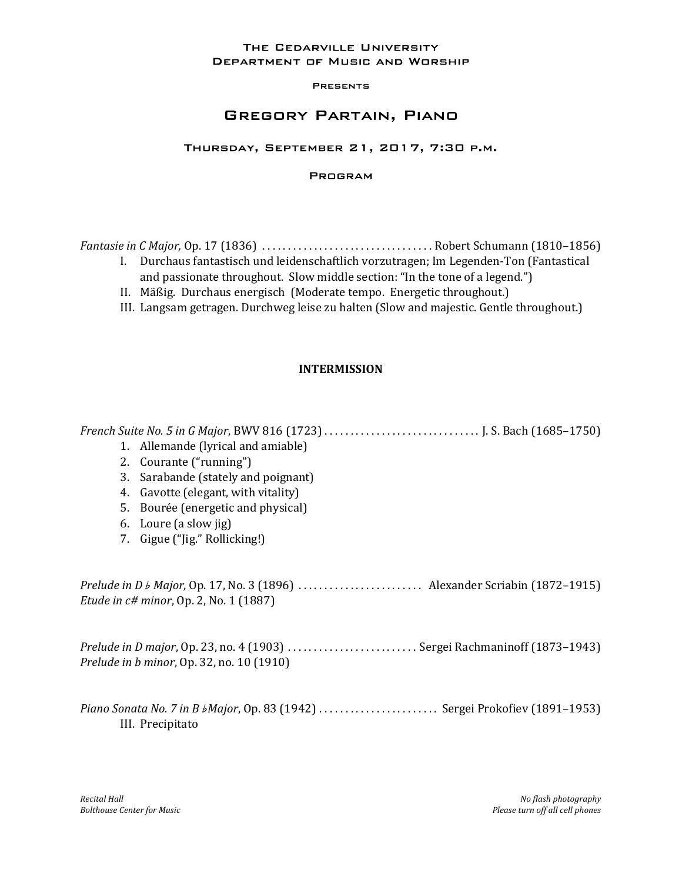### THE CEDARVILLE UNIVERSITY **DEPARTMENT OF MUSIC AND WORSHIP**

#### **PRESENTS**

# **GREGORY PARTAIN, PIANO**

### THURSDAY, SEPTEMBER 21, 2017, 7:30 P.M.

### **PROGRAM**

Fantasie in C Major, Op. 17 (1836) . . . . . . . . . . . . . . . . . . . . . . . . . . . . . . . . . Robert Schumann (1810–1856)

- I. Durchaus fantastisch und leidenschaftlich vorzutragen; Im Legenden-Ton (Fantastical and passionate throughout. Slow middle section: "In the tone of a legend.")
- II. Mäßig. Durchaus energisch (Moderate tempo. Energetic throughout.)
- III. Langsam getragen. Durchweg leise zu halten (Slow and majestic. Gentle throughout.)

## INTERMISSION

French Suite No. 5 in G Major, BWV 816 (1723) . . . . . . . . . . . . . . . . . . . . . . . . . . . . . . J. S. Bach (1685–1750) 1. Allemande (lyrical and amiable) 2. Courante ("running") 3. Sarabande (stately and poignant) 4. Gavotte (elegant, with vitality) 5. Bourée (energetic and physical) 6. Loure (a slow jig) 7. Gigue ("Jig." Rollicking!) Prelude in  $D \, \text{b}$  Major, Op. 17, No. 3 (1896)  $\ldots$ . . . . . . . . . . . . . . . . . Alexander Scriabin (1872–1915) Etude in c# minor, Op. 2, No. 1 (1887) Prelude in D major, Op. 23, no. 4 (1903) . . . . . . . . . . . . . . . . . . . . . . . . . Sergei Rachmaninoff (1873–1943) Prelude in b minor, Op. 32, no. 10 (1910) Piano Sonata No. 7 in B *bMajor*, Op. 83 (1942) ............................. Sergei Prokofiev (1891-1953) III. Precipitato